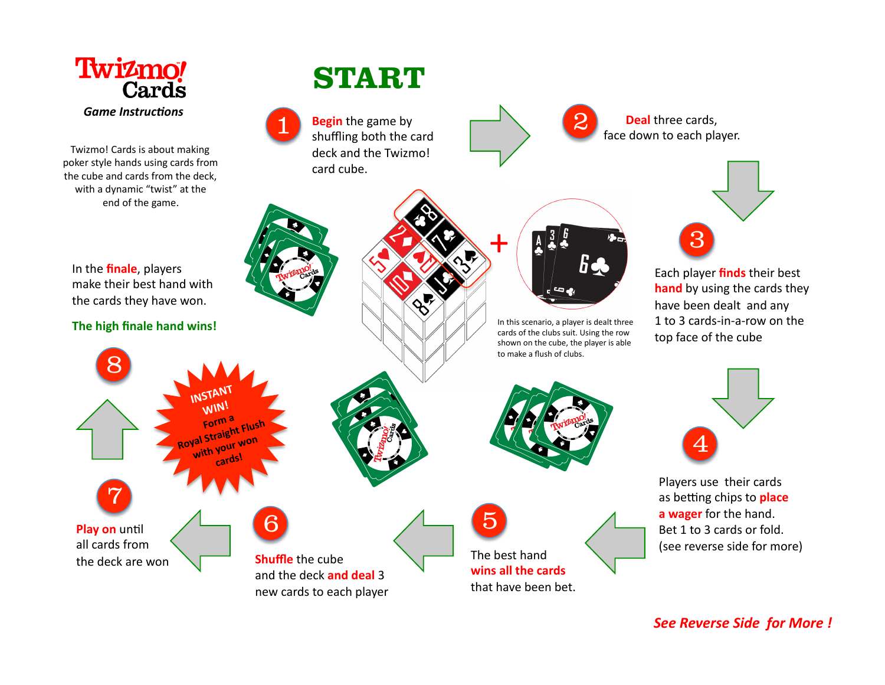

**See Reverse Side for More!**